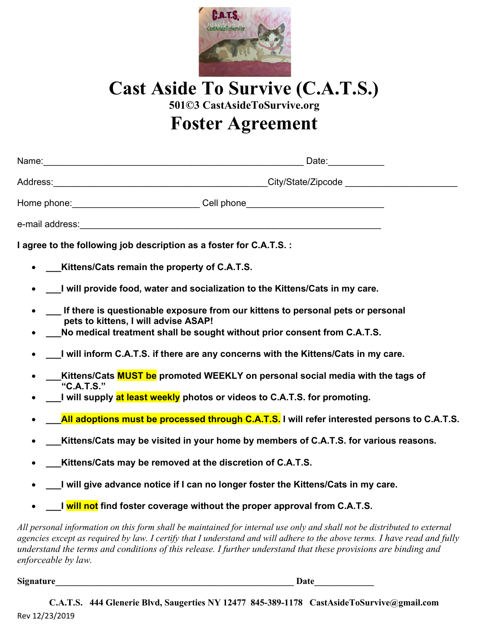

### Cast Aside To Survive (C.A.T.S.) 501©3 CastAsideToSurvive.org

## Foster Agreement

| Name: |
|-------|
|-------|

 $\blacksquare$  Date:

Address: example and the control of the control of the City/State/Zipcode  $\text{City/State/Zipcode}$ 

| Home phone: | Cell phone |
|-------------|------------|
|             |            |

e-mail address:\_\_\_\_\_\_\_\_\_\_\_\_\_\_\_\_\_\_\_\_\_\_\_\_\_\_\_\_\_\_\_\_\_\_\_\_\_\_\_\_\_\_\_\_\_\_\_\_\_\_\_\_\_\_\_\_\_\_\_

I agree to the following job description as a foster for C.A.T.S. :

- \_\_\_Kittens/Cats remain the property of C.A.T.S.
- \_\_\_I will provide food, water and socialization to the Kittens/Cats in my care.
- \_\_\_ If there is questionable exposure from our kittens to personal pets or personal pets to kittens, I will advise ASAP!
- No medical treatment shall be sought without prior consent from C.A.T.S.
- \_\_\_I will inform C.A.T.S. if there are any concerns with the Kittens/Cats in my care.
- Kittens/Cats **MUST be** promoted WEEKLY on personal social media with the tags of "C.A.T.S."
- I will supply at least weekly photos or videos to C.A.T.S. for promoting.
- All adoptions must be processed through C.A.T.S. I will refer interested persons to C.A.T.S.
- Kittens/Cats may be visited in your home by members of C.A.T.S. for various reasons.
- Kittens/Cats may be removed at the discretion of C.A.T.S.
- \_\_\_I will give advance notice if I can no longer foster the Kittens/Cats in my care.
- I will not find foster coverage without the proper approval from C.A.T.S.

All personal information on this form shall be maintained for internal use only and shall not be distributed to external agencies except as required by law. I certify that I understand and will adhere to the above terms. I have read and fully understand the terms and conditions of this release. I further understand that these provisions are binding and enforceable by law.

Signature **Example 2** and the set of the set of the set of the set of the set of the set of the set of the set of the set of the set of the set of the set of the set of the set of the set of the set of the set of the set o

Rev 12/23/2019 C.A.T.S. 444 Glenerie Blvd, Saugerties NY 12477 845-389-1178 CastAsideToSurvive@gmail.com